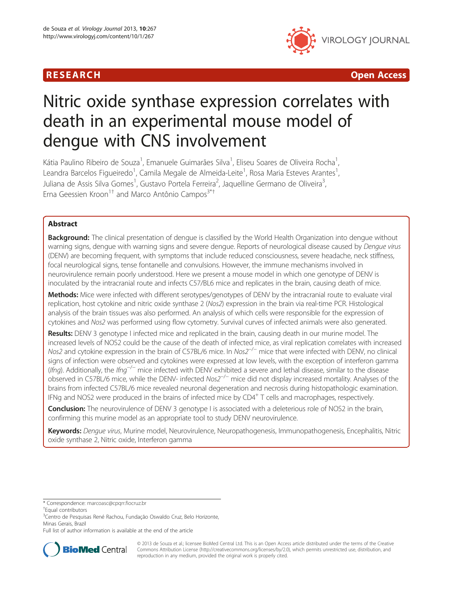

**RESEARCH CHINESE ARCH CHINESE ARCHITECT AND ACCESS** 

# Nitric oxide synthase expression correlates with death in an experimental mouse model of dengue with CNS involvement

Kátia Paulino Ribeiro de Souza<sup>1</sup>, Emanuele Guimarães Silva<sup>1</sup>, Eliseu Soares de Oliveira Rocha<sup>1</sup> , Leandra Barcelos Figueiredo<sup>1</sup>, Camila Megale de Almeida-Leite<sup>1</sup>, Rosa Maria Esteves Arantes<sup>1</sup> , Juliana de Assis Silva Gomes<sup>1</sup>, Gustavo Portela Ferreira<sup>2</sup>, Jaquelline Germano de Oliveira<sup>3</sup> , Erna Geessien Kroon<sup>1†</sup> and Marco Antônio Campos<sup>3\*†</sup>

# Abstract

Background: The clinical presentation of dengue is classified by the World Health Organization into dengue without warning signs, dengue with warning signs and severe dengue. Reports of neurological disease caused by Dengue virus (DENV) are becoming frequent, with symptoms that include reduced consciousness, severe headache, neck stiffness, focal neurological signs, tense fontanelle and convulsions. However, the immune mechanisms involved in neurovirulence remain poorly understood. Here we present a mouse model in which one genotype of DENV is inoculated by the intracranial route and infects C57/BL6 mice and replicates in the brain, causing death of mice.

Methods: Mice were infected with different serotypes/genotypes of DENV by the intracranial route to evaluate viral replication, host cytokine and nitric oxide synthase 2 (Nos2) expression in the brain via real-time PCR. Histological analysis of the brain tissues was also performed. An analysis of which cells were responsible for the expression of cytokines and Nos2 was performed using flow cytometry. Survival curves of infected animals were also generated.

Results: DENV 3 genotype I infected mice and replicated in the brain, causing death in our murine model. The increased levels of NOS2 could be the cause of the death of infected mice, as viral replication correlates with increased Nos2 and cytokine expression in the brain of C57BL/6 mice. In Nos2<sup>−/−</sup> mice that were infected with DENV, no clinical signs of infection were observed and cytokines were expressed at low levels, with the exception of interferon gamma (Ifng). Additionally, the Ifng<sup>-/−</sup> mice infected with DENV exhibited a severe and lethal disease, similar to the disease observed in C57BL/6 mice, while the DENV- infected Nos2−/<sup>−</sup> mice did not display increased mortality. Analyses of the brains from infected C57BL/6 mice revealed neuronal degeneration and necrosis during histopathologic examination. IFNg and NOS2 were produced in the brains of infected mice by CD4<sup>+</sup> T cells and macrophages, respectively.

Conclusion: The neurovirulence of DENV 3 genotype I is associated with a deleterious role of NOS2 in the brain, confirming this murine model as an appropriate tool to study DENV neurovirulence.

Keywords: Dengue virus, Murine model, Neurovirulence, Neuropathogenesis, Immunopathogenesis, Encephalitis, Nitric oxide synthase 2, Nitric oxide, Interferon gamma

\* Correspondence: [marcoasc@cpqrr.fiocruz.br](mailto:marcoasc@cpqrr.fiocruz.br) †

<sup>+</sup>Equal contributors

<sup>3</sup>Centro de Pesquisas René Rachou, Fundação Oswaldo Cruz, Belo Horizonte, Minas Gerais, Brazil

Full list of author information is available at the end of the article



© 2013 de Souza et al.; licensee BioMed Central Ltd. This is an Open Access article distributed under the terms of the Creative Commons Attribution License [\(http://creativecommons.org/licenses/by/2.0\)](http://creativecommons.org/licenses/by/2.0), which permits unrestricted use, distribution, and reproduction in any medium, provided the original work is properly cited.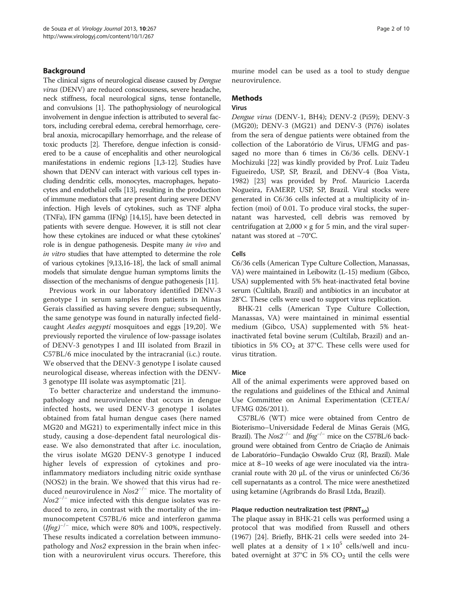### Background

The clinical signs of neurological disease caused by Dengue virus (DENV) are reduced consciousness, severe headache, neck stiffness, focal neurological signs, tense fontanelle, and convulsions [[1](#page-8-0)]. The pathophysiology of neurological involvement in dengue infection is attributed to several factors, including cerebral edema, cerebral hemorrhage, cerebral anoxia, microcapillary hemorrhage, and the release of toxic products [[2](#page-8-0)]. Therefore, dengue infection is considered to be a cause of encephalitis and other neurological manifestations in endemic regions [\[1,3](#page-8-0)[-12\]](#page-9-0). Studies have shown that DENV can interact with various cell types including dendritic cells, monocytes, macrophages, hepatocytes and endothelial cells [\[13](#page-9-0)], resulting in the production of immune mediators that are present during severe DENV infection. High levels of cytokines, such as TNF alpha (TNFa), IFN gamma (IFNg) [[14,15\]](#page-9-0), have been detected in patients with severe dengue. However, it is still not clear how these cytokines are induced or what these cytokines' role is in dengue pathogenesis. Despite many in vivo and in vitro studies that have attempted to determine the role of various cytokines [[9,13,16](#page-9-0)-[18](#page-9-0)], the lack of small animal models that simulate dengue human symptoms limits the dissection of the mechanisms of dengue pathogenesis [\[11\]](#page-9-0).

Previous work in our laboratory identified DENV-3 genotype I in serum samples from patients in Minas Gerais classified as having severe dengue; subsequently, the same genotype was found in naturally infected fieldcaught Aedes aegypti mosquitoes and eggs [[19,20\]](#page-9-0). We previously reported the virulence of low-passage isolates of DENV-3 genotypes I and III isolated from Brazil in C57BL/6 mice inoculated by the intracranial (i.c.) route. We observed that the DENV-3 genotype I isolate caused neurological disease, whereas infection with the DENV-3 genotype III isolate was asymptomatic [[21\]](#page-9-0).

To better characterize and understand the immunopathology and neurovirulence that occurs in dengue infected hosts, we used DENV-3 genotype I isolates obtained from fatal human dengue cases (here named MG20 and MG21) to experimentally infect mice in this study, causing a dose-dependent fatal neurological disease. We also demonstrated that after i.c. inoculation, the virus isolate MG20 DENV-3 genotype I induced higher levels of expression of cytokines and proinflammatory mediators including nitric oxide synthase (NOS2) in the brain. We showed that this virus had reduced neurovirulence in  $N \omega^{-/-}$  mice. The mortality of  $N \text{o} s2^{-/-}$  mice infected with this dengue isolates was reduced to zero, in contrast with the mortality of the immunocompetent C57BL/6 mice and interferon gamma  $(If \nmid g)^{-/-}$  mice, which were 80% and 100%, respectively. These results indicated a correlation between immunopathology and Nos2 expression in the brain when infection with a neurovirulent virus occurs. Therefore, this murine model can be used as a tool to study dengue neurovirulence.

# **Methods**

#### Virus

Dengue virus (DENV-1, BH4); DENV-2 (Pi59); DENV-3 (MG20); DENV-3 (MG21) and DENV-3 (Pi76) isolates from the sera of dengue patients were obtained from the collection of the Laboratório de Virus, UFMG and passaged no more than 6 times in C6/36 cells. DENV-1 Mochizuki [[22\]](#page-9-0) was kindly provided by Prof. Luiz Tadeu Figueiredo, USP, SP, Brazil, and DENV-4 (Boa Vista, 1982) [\[23\]](#page-9-0) was provided by Prof. Mauricio Lacerda Nogueira, FAMERP, USP, SP, Brazil. Viral stocks were generated in C6/36 cells infected at a multiplicity of infection (moi) of 0.01. To produce viral stocks, the supernatant was harvested, cell debris was removed by centrifugation at  $2,000 \times g$  for 5 min, and the viral supernatant was stored at −70°C.

#### Cells

C6/36 cells (American Type Culture Collection, Manassas, VA) were maintained in Leibowitz (L-15) medium (Gibco, USA) supplemented with 5% heat-inactivated fetal bovine serum (Cultilab, Brazil) and antibiotics in an incubator at 28°C. These cells were used to support virus replication.

BHK-21 cells (American Type Culture Collection, Manassas, VA) were maintained in minimal essential medium (Gibco, USA) supplemented with 5% heatinactivated fetal bovine serum (Cultilab, Brazil) and antibiotics in 5%  $CO<sub>2</sub>$  at 37°C. These cells were used for virus titration.

#### Mice

All of the animal experiments were approved based on the regulations and guidelines of the Ethical and Animal Use Committee on Animal Experimentation (CETEA/ UFMG 026/2011).

C57BL/6 (WT) mice were obtained from Centro de Bioterismo–Universidade Federal de Minas Gerais (MG, Brazil). The  $Nos2^{-/-}$  and  $Jfng^{-/-}$  mice on the C57BL/6 background were obtained from Centro de Criação de Animais de Laboratório–Fundação Oswaldo Cruz (RJ, Brazil). Male mice at 8–10 weeks of age were inoculated via the intracranial route with 20 μL of the virus or uninfected C6/36 cell supernatants as a control. The mice were anesthetized using ketamine (Agribrands do Brasil Ltda, Brazil).

#### Plaque reduction neutralization test (PRNT $_{50}$ )

The plaque assay in BHK-21 cells was performed using a protocol that was modified from Russell and others (1967) [\[24\]](#page-9-0). Briefly, BHK-21 cells were seeded into 24 well plates at a density of  $1 \times 10^5$  cells/well and incubated overnight at 37°C in 5%  $CO<sub>2</sub>$  until the cells were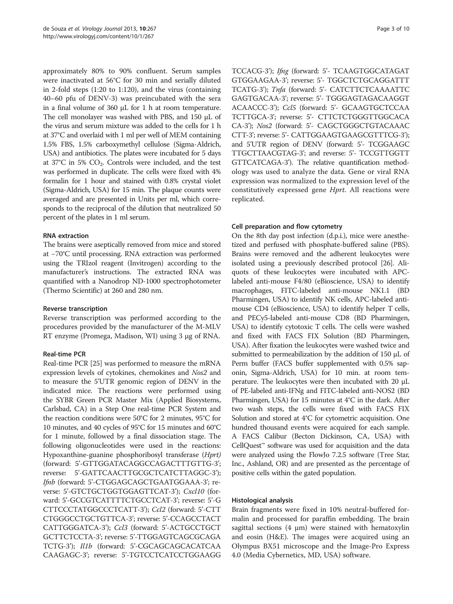approximately 80% to 90% confluent. Serum samples were inactivated at 56°C for 30 min and serially diluted in 2-fold steps (1:20 to 1:120), and the virus (containing 40–60 pfu of DENV-3) was preincubated with the sera in a final volume of 360 μL for 1 h at room temperature. The cell monolayer was washed with PBS, and 150 μL of the virus and serum mixture was added to the cells for 1 h at 37°C and overlaid with 1 ml per well of MEM containing 1.5% FBS, 1.5% carboxymethyl cellulose (Sigma-Aldrich, USA) and antibiotics. The plates were incubated for 5 days at  $37^{\circ}$ C in 5%  $CO_2$ . Controls were included, and the test was performed in duplicate. The cells were fixed with 4% formalin for 1 hour and stained with 0.8% crystal violet (Sigma-Aldrich, USA) for 15 min. The plaque counts were averaged and are presented in Units per ml, which corresponds to the reciprocal of the dilution that neutralized 50 percent of the plates in 1 ml serum.

### RNA extraction

The brains were aseptically removed from mice and stored at −70°C until processing. RNA extraction was performed using the TRIzol reagent (Invitrogen) according to the manufacturer's instructions. The extracted RNA was quantified with a Nanodrop ND-1000 spectrophotometer (Thermo Scientific) at 260 and 280 nm.

#### Reverse transcription

Reverse transcription was performed according to the procedures provided by the manufacturer of the M-MLV RT enzyme (Promega, Madison, WI) using 3 μg of RNA.

#### Real-time PCR

Real-time PCR [[25](#page-9-0)] was performed to measure the mRNA expression levels of cytokines, chemokines and Nos2 and to measure the 5'UTR genomic region of DENV in the indicated mice. The reactions were performed using the SYBR Green PCR Master Mix (Applied Biosystems, Carlsbad, CA) in a Step One real-time PCR System and the reaction conditions were 50°C for 2 minutes, 95°C for 10 minutes, and 40 cycles of 95°C for 15 minutes and 60°C for 1 minute, followed by a final dissociation stage. The following oligonucleotides were used in the reactions: Hypoxanthine-guanine phosphoribosyl transferase (Hprt) (forward: 5'-GTTGGATACAGGCCAGACTTTGTTG-3'; reverse: 5'-GATTCAACTTGCGCTCATCTTAGGC-3'); Ifnb (forward: 5'-CTGGAGCAGCTGAATGGAAA-3'; reverse: 5'-GTCTGCTGGTGGAGTTCAT-3'); Cxcl10 (forward: 5'-GCCGTCATTTTCTGCCTCAT-3'; reverse: 5'-G CTTCCCTATGGCCCTCATT-3'); Ccl2 (forward: 5'-CTT CTGGGCCTGCTGTTCA-3'; reverse: 5'-CCAGCCTACT CATTGGGATCA-3'); Ccl3 (forward: 5'-ACTGCCTGCT GCTTCTCCTA-3'; reverse: 5'-TTGGAGTCAGCGCAGA TCTG-3'); Il1b (forward: 5'-CGCAGCAGCACATCAA CAAGAGC-3'; reverse: 5'-TGTCCTCATCCTGGAAGG TCCACG-3'); Ifng (forward: 5'- TCAAGTGGCATAGAT GTGGAAGAA-3'; reverse: 5'- TGGCTCTGCAGGATTT TCATG-3'); Tnfa (forward: 5'- CATCTTCTCAAAATTC GAGTGACAA-3'; reverse: 5'- TGGGAGTAGACAAGGT ACAACCC-3'); Ccl5 (forward: 5'- GCAAGTGCTCCAA TCTTGCA-3'; reverse: 5'- CTTCTCTGGGTTGGCACA CA-3'); Nos2 (forward: 5'- CAGCTGGGCTGTACAAAC CTT-3'; reverse: 5'- CATTGGAAGTGAAGCGTTTCG-3'); and 5'UTR region of DENV (forward: 5'- TCGGAAGC TTGCTTAACGTAG-3'; and reverse: 5'- TCCGTTGGTT GTTCATCAGA-3'). The relative quantification methodology was used to analyze the data. Gene or viral RNA expression was normalized to the expression level of the constitutively expressed gene Hprt. All reactions were replicated.

# Cell preparation and flow cytometry

On the 8th day post infection (d.p.i.), mice were anesthetized and perfused with phosphate-buffered saline (PBS). Brains were removed and the adherent leukocytes were isolated using a previously described protocol [[26](#page-9-0)]. Aliquots of these leukocytes were incubated with APClabeled anti-mouse F4/80 (eBioscience, USA) to identify macrophages, FITC-labeled anti-mouse NK1.1 (BD Pharmingen, USA) to identify NK cells, APC-labeled antimouse CD4 (eBioscience, USA) to identify helper T cells, and PECy5-labeled anti-mouse CD8 (BD Pharmingen, USA) to identify cytotoxic T cells. The cells were washed and fixed with FACS FIX Solution (BD Pharmingen, USA). After fixation the leukocytes were washed twice and submitted to permeabilization by the addition of 150 μL of Perm buffer (FACS buffer supplemented with 0.5% saponin, Sigma-Aldrich, USA) for 10 min. at room temperature. The leukocytes were then incubated with 20 μL of PE-labeled anti-IFNg and FITC-labeled anti-NOS2 (BD Pharmingen, USA) for 15 minutes at 4°C in the dark. After two wash steps, the cells were fixed with FACS FIX Solution and stored at 4°C for cytometric acquisition. One hundred thousand events were acquired for each sample. A FACS Calibur (Becton Dickinson, CA, USA) with CellQuest™ software was used for acquisition and the data were analyzed using the FlowJo 7.2.5 software (Tree Star, Inc., Ashland, OR) and are presented as the percentage of positive cells within the gated population.

#### Histological analysis

Brain fragments were fixed in 10% neutral-buffered formalin and processed for paraffin embedding. The brain sagittal sections  $(4 \mu m)$  were stained with hematoxylin and eosin (H&E). The images were acquired using an Olympus BX51 microscope and the Image-Pro Express 4.0 (Media Cybernetics, MD, USA) software.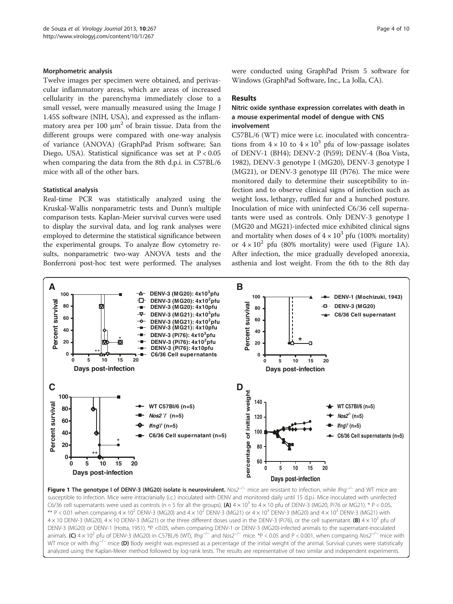#### <span id="page-3-0"></span>Morphometric analysis

Twelve images per specimen were obtained, and perivascular inflammatory areas, which are areas of increased cellularity in the parenchyma immediately close to a small vessel, were manually measured using the Image J 1.45S software (NIH, USA), and expressed as the inflammatory area per 100  $\mu$ m<sup>2</sup> of brain tissue. Data from the different groups were compared with one-way analysis of variance (ANOVA) (GraphPad Prism software; San Diego, USA). Statistical significance was set at P < 0.05 when comparing the data from the 8th d.p.i. in C57BL/6 mice with all of the other bars.

#### Statistical analysis

Real-time PCR was statistically analyzed using the Kruskal-Wallis nonparametric tests and Dunn's multiple comparison tests. Kaplan-Meier survival curves were used to display the survival data, and log rank analyses were employed to determine the statistical significance between the experimental groups. To analyze flow cytometry results, nonparametric two-way ANOVA tests and the Bonferroni post-hoc test were performed. The analyses were conducted using GraphPad Prism 5 software for Windows (GraphPad Software, Inc., La Jolla, CA).

#### Results

### Nitric oxide synthase expression correlates with death in a mouse experimental model of dengue with CNS involvement

C57BL/6 (WT) mice were i.c. inoculated with concentrations from  $4 \times 10$  to  $4 \times 10^3$  pfu of low-passage isolates of DENV-1 (BH4); DENV-2 (Pi59); DENV-4 (Boa Vista, 1982), DENV-3 genotype I (MG20), DENV-3 genotype I (MG21), or DENV-3 genotype III (Pi76). The mice were monitored daily to determine their susceptibility to infection and to observe clinical signs of infection such as weight loss, lethargy, ruffled fur and a hunched posture. Inoculation of mice with uninfected C6/36 cell supernatants were used as controls. Only DENV-3 genotype I (MG20 and MG21)-infected mice exhibited clinical signs and mortality when doses of  $4 \times 10^3$  pfu (100% mortality) or  $4 \times 10^2$  pfu (80% mortality) were used (Figure 1A). After infection, the mice gradually developed anorexia, asthenia and lost weight. From the 6th to the 8th day



Figure 1 The genotype I of DENV-3 (MG20) isolate is neurovirulent. Nos2<sup>-/−</sup> mice are resistant to infection, while Ifng<sup>-/−</sup> and WT mice are susceptible to infection. Mice were intracranially (i.c.) inoculated with DENV and monitored daily until 15 d.p.i. Mice inoculated with uninfected C6/36 cell supernatants were used as controls (n = 5 for all the groups). (A)  $4 \times 10^3$  to  $4 \times 10^5$  pfu of DENV-3 (MG20, Pi76 or MG21). \* P < 0.05, \*\* P < 0.01 when comparing 4 × 10<sup>2</sup> DENV-3 (MG20) and 4 × 10<sup>2</sup> DENV-3 (MG21) or 4 × 10<sup>3</sup> DENV-3 (MG20) and 4 × 10<sup>3</sup> DENV-3 (MG21) with 4  $\times$  10 DENV-3 (MG20), 4  $\times$  10 DENV-3 (MG21) or the three different doses used in the DENV-3 (Pi76), or the cell supernatant. (B) 4  $\times$  10<sup>2</sup> pfu of DENV-3 (MG20) or DENV-1 (Hotta, 1951). \*P <0.05, when comparing DENV-1 or DENV-3 (MG20)-infected animals to the supernatant-inoculated animals. (C)  $4 \times 10^2$  pfu of DENV-3 (MG20) in C57BL/6 (WT), Ifng<sup>-/−</sup> and Nos2<sup>-/−</sup> mice. \*P < 0.05 and P < 0.001, when comparing Nos2<sup>-/−</sup> mice with WT mice or with Ifng<sup>-/−</sup> mice (D) Body weight was expressed as a percentage of the initial weight of the animal. Survival curves were statistically analyzed using the Kaplan-Meier method followed by log-rank tests. The results are representative of two similar and independent experiments.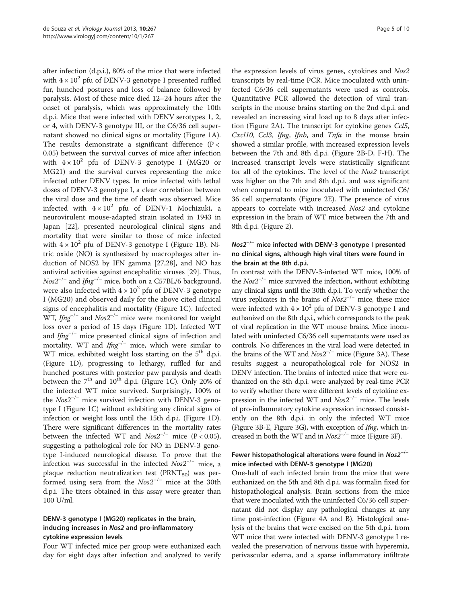after infection (d.p.i.), 80% of the mice that were infected with  $4 \times 10^2$  pfu of DENV-3 genotype I presented ruffled fur, hunched postures and loss of balance followed by paralysis. Most of these mice died 12–24 hours after the onset of paralysis, which was approximately the 10th d.p.i. Mice that were infected with DENV serotypes 1, 2, or 4, with DENV-3 genotype III, or the C6/36 cell supernatant showed no clinical signs or mortality (Figure [1](#page-3-0)A). The results demonstrate a significant difference ( $P <$ 0.05) between the survival curves of mice after infection with  $4 \times 10^2$  pfu of DENV-3 genotype I (MG20 or MG21) and the survival curves representing the mice infected other DENV types. In mice infected with lethal doses of DENV-3 genotype I, a clear correlation between the viral dose and the time of death was observed. Mice infected with  $4 \times 10^2$  pfu of DENV-1 Mochizuki, a neurovirulent mouse-adapted strain isolated in 1943 in Japan [[22\]](#page-9-0), presented neurological clinical signs and mortality that were similar to those of mice infected with  $4 \times 10^2$  $4 \times 10^2$  $4 \times 10^2$  pfu of DENV-3 genotype I (Figure 1B). Nitric oxide (NO) is synthesized by macrophages after induction of NOS2 by IFN gamma [\[27,28\]](#page-9-0), and NO has antiviral activities against encephalitic viruses [\[29\]](#page-9-0). Thus,  $Nos2^{-/-}$  and Ifng<sup>-/-</sup> mice, both on a C57BL/6 background, were also infected with  $4 \times 10^2$  pfu of DENV-3 genotype I (MG20) and observed daily for the above cited clinical signs of encephalitis and mortality (Figure [1](#page-3-0)C). Infected WT, Ifng<sup>-/-</sup> and  $Nos2^{-/-}$  mice were monitored for weight loss over a period of 15 days (Figure [1](#page-3-0)D). Infected WT and  $\text{Im} \, \sigma^{-/-}$  mice presented clinical signs of infection and mortality. WT and  $I f \eta g^{-/-}$  mice, which were similar to WT mice, exhibited weight loss starting on the  $5<sup>th</sup>$  d.p.i. (Figure [1D](#page-3-0)), progressing to lethargy, ruffled fur and hunched postures with posterior paw paralysis and death between the  $7<sup>th</sup>$  and  $10<sup>th</sup>$  d.p.i. (Figure [1](#page-3-0)C). Only 20% of the infected WT mice survived. Surprisingly, 100% of the  $N \omega 2^{-/-}$  mice survived infection with DENV-3 genotype I (Figure [1](#page-3-0)C) without exhibiting any clinical signs of infection or weight loss until the 15th d.p.i. (Figure [1](#page-3-0)D). There were significant differences in the mortality rates between the infected WT and  $N \alpha s 2^{-/-}$  mice (P < 0.05), suggesting a pathological role for NO in DENV-3 genotype I-induced neurological disease. To prove that the infection was successful in the infected Nos2−/<sup>−</sup> mice, a plaque reduction neutralization test ( $\text{PRNT}_{50}$ ) was performed using sera from the  $N \omega 2^{-/-}$  mice at the 30th d.p.i. The titers obtained in this assay were greater than 100 U/ml.

# DENV-3 genotype I (MG20) replicates in the brain, inducing increases in Nos2 and pro-inflammatory cytokine expression levels

Four WT infected mice per group were euthanized each day for eight days after infection and analyzed to verify

the expression levels of virus genes, cytokines and Nos2 transcripts by real-time PCR. Mice inoculated with uninfected C6/36 cell supernatants were used as controls. Quantitative PCR allowed the detection of viral transcripts in the mouse brains starting on the 2nd d.p.i. and revealed an increasing viral load up to 8 days after infection (Figure [2A](#page-5-0)). The transcript for cytokine genes Ccl5, Cxcl10, Ccl3, Ifng, Ifnb, and Tnfa in the mouse brain showed a similar profile, with increased expression levels between the 7th and 8th d.p.i. (Figure [2](#page-5-0)B-D, F-H). The increased transcript levels were statistically significant for all of the cytokines. The level of the Nos2 transcript was higher on the 7th and 8th d.p.i. and was significant when compared to mice inoculated with uninfected C6/ 36 cell supernatants (Figure [2](#page-5-0)E). The presence of virus appears to correlate with increased Nos2 and cytokine expression in the brain of WT mice between the 7th and 8th d.p.i. (Figure [2](#page-5-0)).

# Nos2−/<sup>−</sup> mice infected with DENV-3 genotype I presented no clinical signs, although high viral titers were found in the brain at the 8th d.p.i.

In contrast with the DENV-3-infected WT mice, 100% of the Nos2−/<sup>−</sup> mice survived the infection, without exhibiting any clinical signs until the 30th d.p.i. To verify whether the virus replicates in the brains of  $N \omega 2^{-/-}$  mice, these mice were infected with  $4 \times 10^2$  pfu of DENV-3 genotype I and euthanized on the 8th d.p.i., which corresponds to the peak of viral replication in the WT mouse brains. Mice inoculated with uninfected C6/36 cell supernatants were used as controls. No differences in the viral load were detected in the brains of the WT and  $Nos2^{-/-}$  mice (Figure [3](#page-5-0)A). These results suggest a neuropathological role for NOS2 in DENV infection. The brains of infected mice that were euthanized on the 8th d.p.i. were analyzed by real-time PCR to verify whether there were different levels of cytokine expression in the infected WT and  $N \omega 2^{-/-}$  mice. The levels of pro-inflammatory cytokine expression increased consistently on the 8th d.p.i. in only the infected WT mice (Figure [3](#page-5-0)B-E, Figure [3](#page-5-0)G), with exception of Ifng, which increased in both the WT and in  $N \omega 2^{-/-}$  mice (Figure [3](#page-5-0)F).

# Fewer histopathological alterations were found in Nos2−/<sup>−</sup> mice infected with DENV-3 genotype I (MG20)

One-half of each infected brain from the mice that were euthanized on the 5th and 8th d.p.i. was formalin fixed for histopathological analysis. Brain sections from the mice that were inoculated with the uninfected C6/36 cell supernatant did not display any pathological changes at any time post-infection (Figure [4](#page-6-0)A and B). Histological analysis of the brains that were excised on the 5th d.p.i. from WT mice that were infected with DENV-3 genotype I revealed the preservation of nervous tissue with hyperemia, perivascular edema, and a sparse inflammatory infiltrate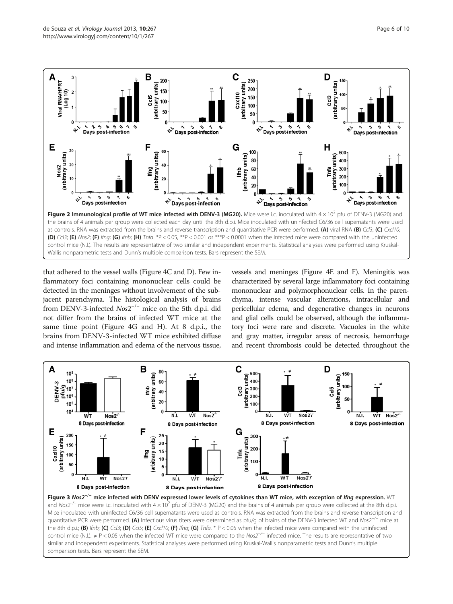<span id="page-5-0"></span>

that adhered to the vessel walls (Figure [4](#page-6-0)C and D). Few inflammatory foci containing mononuclear cells could be detected in the meninges without involvement of the subjacent parenchyma. The histological analysis of brains from DENV-3-infected Nos2−/<sup>−</sup> mice on the 5th d.p.i. did not differ from the brains of infected WT mice at the same time point (Figure [4](#page-6-0)G and H). At 8 d.p.i., the brains from DENV-3-infected WT mice exhibited diffuse and intense inflammation and edema of the nervous tissue,

vessels and meninges (Figure [4](#page-6-0)E and F). Meningitis was characterized by several large inflammatory foci containing mononuclear and polymorphonuclear cells. In the parenchyma, intense vascular alterations, intracellular and pericellular edema, and degenerative changes in neurons and glial cells could be observed, although the inflammatory foci were rare and discrete. Vacuoles in the white and gray matter, irregular areas of necrosis, hemorrhage and recent thrombosis could be detected throughout the



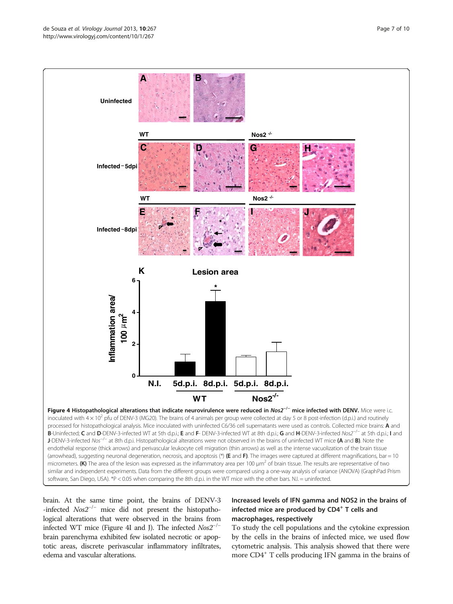<span id="page-6-0"></span>

brain. At the same time point, the brains of DENV-3 -infected Nos2−/<sup>−</sup> mice did not present the histopathological alterations that were observed in the brains from infected WT mice (Figure 4I and J). The infected  $N \omega s 2^{-/-}$ brain parenchyma exhibited few isolated necrotic or apoptotic areas, discrete perivascular inflammatory infiltrates, edema and vascular alterations.

# Increased levels of IFN gamma and NOS2 in the brains of infected mice are produced by CD4<sup>+</sup> T cells and macrophages, respectively

To study the cell populations and the cytokine expression by the cells in the brains of infected mice, we used flow cytometric analysis. This analysis showed that there were more CD4+ T cells producing IFN gamma in the brains of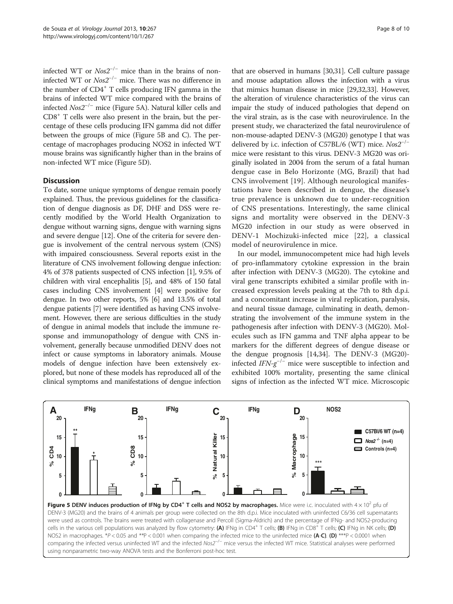infected WT or  $N \text{os}2^{-/-}$  mice than in the brains of noninfected WT or Nos2−/<sup>−</sup> mice. There was no difference in the number of CD4<sup>+</sup> T cells producing IFN gamma in the brains of infected WT mice compared with the brains of infected  $N \omega 2^{-/-}$  mice (Figure 5A). Natural killer cells and  $CD8<sup>+</sup>$  T cells were also present in the brain, but the percentage of these cells producing IFN gamma did not differ between the groups of mice (Figure 5B and C). The percentage of macrophages producing NOS2 in infected WT mouse brains was significantly higher than in the brains of non-infected WT mice (Figure 5D).

# **Discussion**

To date, some unique symptoms of dengue remain poorly explained. Thus, the previous guidelines for the classification of dengue diagnosis as DF, DHF and DSS were recently modified by the World Health Organization to dengue without warning signs, dengue with warning signs and severe dengue [\[12\]](#page-9-0). One of the criteria for severe dengue is involvement of the central nervous system (CNS) with impaired consciousness. Several reports exist in the literature of CNS involvement following dengue infection: 4% of 378 patients suspected of CNS infection [[1](#page-8-0)], 9.5% of children with viral encephalitis [\[5\]](#page-9-0), and 48% of 150 fatal cases including CNS involvement [\[4](#page-9-0)] were positive for dengue. In two other reports, 5% [\[6](#page-9-0)] and 13.5% of total dengue patients [\[7](#page-9-0)] were identified as having CNS involvement. However, there are serious difficulties in the study of dengue in animal models that include the immune response and immunopathology of dengue with CNS involvement, generally because unmodified DENV does not infect or cause symptoms in laboratory animals. Mouse models of dengue infection have been extensively explored, but none of these models has reproduced all of the clinical symptoms and manifestations of dengue infection

that are observed in humans [\[30,31](#page-9-0)]. Cell culture passage and mouse adaptation allows the infection with a virus that mimics human disease in mice [\[29,32](#page-9-0),[33](#page-9-0)]. However, the alteration of virulence characteristics of the virus can impair the study of induced pathologies that depend on the viral strain, as is the case with neurovirulence. In the present study, we characterized the fatal neurovirulence of non-mouse-adapted DENV-3 (MG20) genotype I that was delivered by i.c. infection of C57BL/6 (WT) mice.  $N \omega 2^{-/-}$ mice were resistant to this virus. DENV-3 MG20 was originally isolated in 2004 from the serum of a fatal human dengue case in Belo Horizonte (MG, Brazil) that had CNS involvement [[19\]](#page-9-0). Although neurological manifestations have been described in dengue, the disease's true prevalence is unknown due to under-recognition of CNS presentations. Interestingly, the same clinical signs and mortality were observed in the DENV-3 MG20 infection in our study as were observed in DENV-1 Mochizuki-infected mice [\[22](#page-9-0)], a classical model of neurovirulence in mice.

In our model, immunocompetent mice had high levels of pro-inflammatory cytokine expression in the brain after infection with DENV-3 (MG20). The cytokine and viral gene transcripts exhibited a similar profile with increased expression levels peaking at the 7th to 8th d.p.i. and a concomitant increase in viral replication, paralysis, and neural tissue damage, culminating in death, demonstrating the involvement of the immune system in the pathogenesis after infection with DENV-3 (MG20). Molecules such as IFN gamma and TNF alpha appear to be markers for the different degrees of dengue disease or the dengue prognosis [[14,34\]](#page-9-0). The DENV-3 (MG20) infected  $IFN-g^{-/-}$  mice were susceptible to infection and exhibited 100% mortality, presenting the same clinical signs of infection as the infected WT mice. Microscopic



Figure 5 DENV induces production of IFNg by CD4<sup>+</sup> T cells and NOS2 by macrophages. Mice were i.c. inoculated with  $4 \times 10^2$  pfu of DENV-3 (MG20) and the brains of 4 animals per group were collected on the 8th d.p.i. Mice inoculated with uninfected C6/36 cell supernatants were used as controls. The brains were treated with collagenase and Percoll (Sigma-Aldrich) and the percentage of IFNg- and NOS2-producing cells in the various cell populations was analyzed by flow cytometry: (A) IFNg in CD4<sup>+</sup> T cells; (B) IFNg in CD8<sup>+</sup> T cells; (C) IFNg in NK cells; (D) NOS2 in macrophages.  $*P < 0.05$  and  $*P < 0.001$  when comparing the infected mice to the uninfected mice (A-C). (D)  $**P < 0.0001$  when comparing the infected versus uninfected WT and the infected Nos2<sup>−/−</sup> mice versus the infected WT mice. Statistical analyses were performed using nonparametric two-way ANOVA tests and the Bonferroni post-hoc test.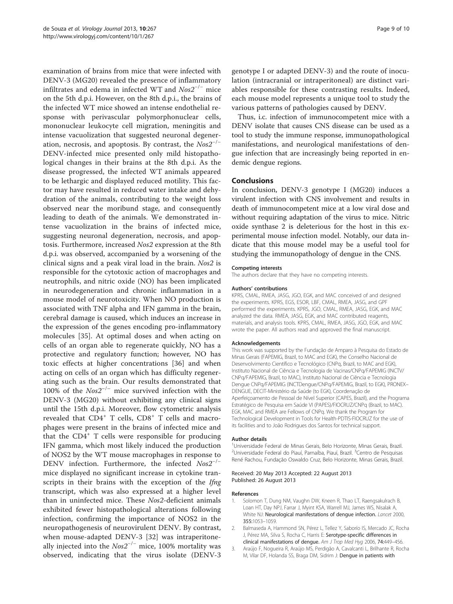<span id="page-8-0"></span>examination of brains from mice that were infected with DENV-3 (MG20) revealed the presence of inflammatory infiltrates and edema in infected WT and  $N \omega s 2^{-/-}$  mice on the 5th d.p.i. However, on the 8th d.p.i., the brains of the infected WT mice showed an intense endothelial response with perivascular polymorphonuclear cells, mononuclear leukocyte cell migration, meningitis and intense vacuolization that suggested neuronal degeneration, necrosis, and apoptosis. By contrast, the  $N \omega^{-/-}$ DENV-infected mice presented only mild histopathological changes in their brains at the 8th d.p.i. As the disease progressed, the infected WT animals appeared to be lethargic and displayed reduced motility. This factor may have resulted in reduced water intake and dehydration of the animals, contributing to the weight loss observed near the moribund stage, and consequently leading to death of the animals. We demonstrated intense vacuolization in the brains of infected mice, suggesting neuronal degeneration, necrosis, and apoptosis. Furthermore, increased Nos2 expression at the 8th d.p.i. was observed, accompanied by a worsening of the clinical signs and a peak viral load in the brain. Nos2 is responsible for the cytotoxic action of macrophages and neutrophils, and nitric oxide (NO) has been implicated in neurodegeneration and chronic inflammation in a mouse model of neurotoxicity. When NO production is associated with TNF alpha and IFN gamma in the brain, cerebral damage is caused, which induces an increase in the expression of the genes encoding pro-inflammatory molecules [[35](#page-9-0)]. At optimal doses and when acting on cells of an organ able to regenerate quickly, NO has a protective and regulatory function; however, NO has toxic effects at higher concentrations [\[36](#page-9-0)] and when acting on cells of an organ which has difficulty regenerating such as the brain. Our results demonstrated that 100% of the  $N \text{os}2^{-/-}$  mice survived infection with the DENV-3 (MG20) without exhibiting any clinical signs until the 15th d.p.i. Moreover, flow cytometric analysis revealed that CD4<sup>+</sup> T cells, CD8<sup>+</sup> T cells and macrophages were present in the brains of infected mice and that the  $CD4^+$  T cells were responsible for producing IFN gamma, which most likely induced the production of NOS2 by the WT mouse macrophages in response to DENV infection. Furthermore, the infected Nos2<sup>-/−</sup> mice displayed no significant increase in cytokine transcripts in their brains with the exception of the *Ifng* transcript, which was also expressed at a higher level than in uninfected mice. These Nos2-deficient animals exhibited fewer histopathological alterations following infection, confirming the importance of NOS2 in the neuropathogenesis of neurovirulent DENV. By contrast, when mouse-adapted DENV-3 [[32](#page-9-0)] was intraperitoneally injected into the  $N \omega^2$ <sup>-/−</sup> mice, 100% mortality was observed, indicating that the virus isolate (DENV-3

genotype I or adapted DENV-3) and the route of inoculation (intracranial or intraperitoneal) are distinct variables responsible for these contrasting results. Indeed, each mouse model represents a unique tool to study the various patterns of pathologies caused by DENV.

Thus, i.c. infection of immunocompetent mice with a DENV isolate that causes CNS disease can be used as a tool to study the immune response, immunopathological manifestations, and neurological manifestations of dengue infection that are increasingly being reported in endemic dengue regions.

#### **Conclusions**

In conclusion, DENV-3 genotype I (MG20) induces a virulent infection with CNS involvement and results in death of immunocompetent mice at a low viral dose and without requiring adaptation of the virus to mice. Nitric oxide synthase 2 is deleterious for the host in this experimental mouse infection model. Notably, our data indicate that this mouse model may be a useful tool for studying the immunopathology of dengue in the CNS.

#### Competing interests

The authors declare that they have no competing interests.

#### Authors' contributions

KPRS, CMAL, RMEA, JASG, JGO, EGK, and MAC conceived of and designed the experiments. KPRS, EGS, ESOR, LBF, CMAL, RMEA, JASG, and GPF performed the experiments. KPRS, JGO, CMAL, RMEA, JASG, EGK, and MAC analyzed the data. RMEA, JASG, EGK, and MAC contributed reagents, materials, and analysis tools. KPRS, CMAL, RMEA, JASG, JGO, EGK, and MAC wrote the paper. All authors read and approved the final manuscript.

#### Acknowledgements

This work was supported by the Fundação de Amparo à Pesquisa do Estado de Minas Gerais (FAPEMIG, Brazil, to MAC and EGK), the Conselho Nacional de Desenvolvimento Científico e Tecnológico (CNPq, Brazil, to MAC and EGK), Instituto Nacional de Ciência e Tecnologia de Vacinas/CNPq/FAPEMIG (INCTV/ CNPq/FAPEMIG, Brazil, to MAC), Instituto Nacional de Ciência e Tecnologia Dengue CNPq/FAPEMIG (INCTDengue/CNPq/FAPEMIG, Brazil, to EGK), PRONEX– DENGUE, DECIT-Ministério da Saúde (to EGK), Coordenação de Aperfeiçoamento de Pessoal de Nível Superior (CAPES, Brazil), and the Programa Estratégico de Pesquisa em Saúde VI (PAPES)/FIOCRUZ/CNPq (Brazil, to MAC). EGK, MAC and RMEA are Fellows of CNPq. We thank the Program for Technological Development in Tools for Health-PDTIS-FIOCRUZ for the use of its facilities and to João Rodrigues dos Santos for technical support.

#### Author details

<sup>1</sup> Universidade Federal de Minas Gerais, Belo Horizonte, Minas Gerais, Brazil <sup>2</sup>Universidade Federal do Piauí, Parnaíba, Piauí, Brazil. <sup>3</sup>Centro de Pesquisas René Rachou, Fundação Oswaldo Cruz, Belo Horizonte, Minas Gerais, Brazil.

#### Received: 20 May 2013 Accepted: 22 August 2013 Published: 26 August 2013

#### References

- 1. Solomon T, Dung NM, Vaughn DW, Kneen R, Thao LT, Raengsakulrach B, Loan HT, Day NPJ, Farrar J, Myint KSA, Warrell MJ, James WS, Nisalak A, White NJ: Neurological manifestations of dengue infection. Lancet 2000, 355:1053–1059.
- 2. Balmaseda A, Hammond SN, Pérez L, Tellez Y, Saborío IS, Mercado JC, Rocha J, Pérez MA, Silva S, Rocha C, Harris E: Serotype-specific differences in clinical manifestations of dengue. Am J Trop Med Hyg 2006, 74:449–456.
- 3. Araújo F, Nogueira R, Araújo MS, Perdigão A, Cavalcanti L, Brilhante R, Rocha M, Vilar DF, Holanda SS, Braga DM, Sidrim J: Dengue in patients with